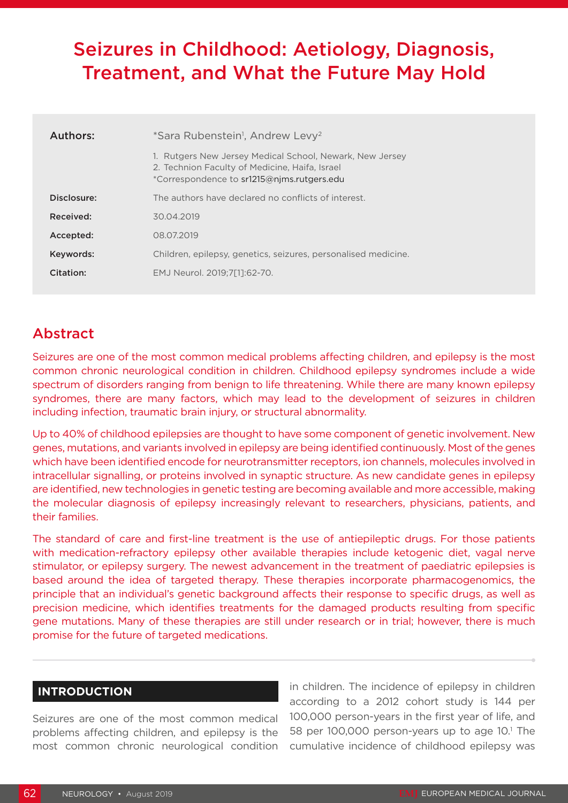# Seizures in Childhood: Aetiology, Diagnosis, Treatment, and What the Future May Hold

| Authors:    | *Sara Rubenstein <sup>1</sup> , Andrew Levy <sup>2</sup>                                                                                                 |  |  |
|-------------|----------------------------------------------------------------------------------------------------------------------------------------------------------|--|--|
|             | 1. Rutgers New Jersey Medical School, Newark, New Jersey<br>2. Technion Faculty of Medicine, Haifa, Israel<br>*Correspondence to sr1215@nims.rutgers.edu |  |  |
| Disclosure: | The authors have declared no conflicts of interest.                                                                                                      |  |  |
| Received:   | 30.04.2019                                                                                                                                               |  |  |
| Accepted:   | 08.07.2019                                                                                                                                               |  |  |
| Keywords:   | Children, epilepsy, genetics, seizures, personalised medicine.                                                                                           |  |  |
| Citation:   | EMJ Neurol. 2019:7[11:62-70.                                                                                                                             |  |  |

## Abstract

Seizures are one of the most common medical problems affecting children, and epilepsy is the most common chronic neurological condition in children. Childhood epilepsy syndromes include a wide spectrum of disorders ranging from benign to life threatening. While there are many known epilepsy syndromes, there are many factors, which may lead to the development of seizures in children including infection, traumatic brain injury, or structural abnormality.

Up to 40% of childhood epilepsies are thought to have some component of genetic involvement. New genes, mutations, and variants involved in epilepsy are being identified continuously. Most of the genes which have been identified encode for neurotransmitter receptors, ion channels, molecules involved in intracellular signalling, or proteins involved in synaptic structure. As new candidate genes in epilepsy are identified, new technologies in genetic testing are becoming available and more accessible, making the molecular diagnosis of epilepsy increasingly relevant to researchers, physicians, patients, and their families.

The standard of care and first-line treatment is the use of antiepileptic drugs. For those patients with medication-refractory epilepsy other available therapies include ketogenic diet, vagal nerve stimulator, or epilepsy surgery. The newest advancement in the treatment of paediatric epilepsies is based around the idea of targeted therapy. These therapies incorporate pharmacogenomics, the principle that an individual's genetic background affects their response to specific drugs, as well as precision medicine, which identifies treatments for the damaged products resulting from specific gene mutations. Many of these therapies are still under research or in trial; however, there is much promise for the future of targeted medications.

## **INTRODUCTION**

Seizures are one of the most common medical problems affecting children, and epilepsy is the most common chronic neurological condition in children. The incidence of epilepsy in children according to a 2012 cohort study is 144 per 100,000 person-years in the first year of life, and 58 per 100,000 person-years up to age 10.<sup>1</sup> The cumulative incidence of childhood epilepsy was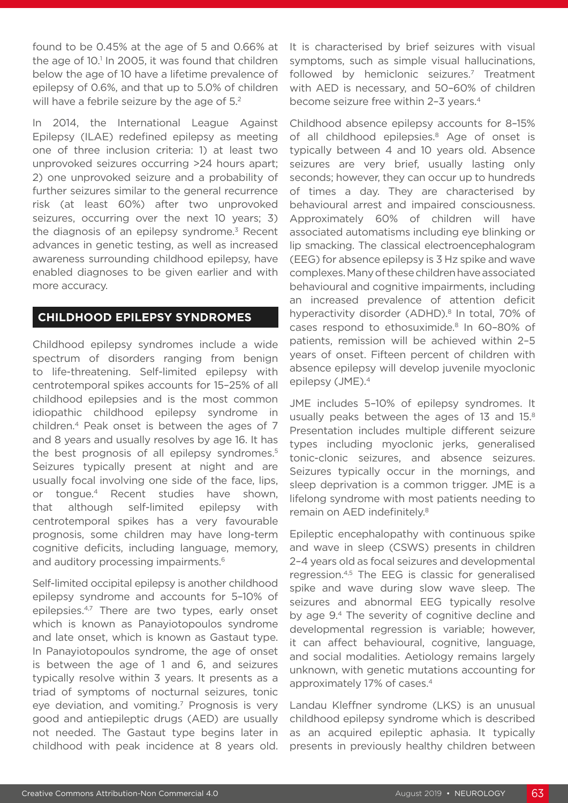found to be 0.45% at the age of 5 and 0.66% at the age of 10.<sup>1</sup> In 2005, it was found that children below the age of 10 have a lifetime prevalence of epilepsy of 0.6%, and that up to 5.0% of children will have a febrile seizure by the age of 5.<sup>2</sup>

In 2014, the International League Against Epilepsy (ILAE) redefined epilepsy as meeting one of three inclusion criteria: 1) at least two unprovoked seizures occurring >24 hours apart; 2) one unprovoked seizure and a probability of further seizures similar to the general recurrence risk (at least 60%) after two unprovoked seizures, occurring over the next 10 years; 3) the diagnosis of an epilepsy syndrome. $3$  Recent advances in genetic testing, as well as increased awareness surrounding childhood epilepsy, have enabled diagnoses to be given earlier and with more accuracy.

## **CHILDHOOD EPILEPSY SYNDROMES**

Childhood epilepsy syndromes include a wide spectrum of disorders ranging from benign to life-threatening. Self-limited epilepsy with centrotemporal spikes accounts for 15–25% of all childhood epilepsies and is the most common idiopathic childhood epilepsy syndrome in children.4 Peak onset is between the ages of 7 and 8 years and usually resolves by age 16. It has the best prognosis of all epilepsy syndromes.<sup>5</sup> Seizures typically present at night and are usually focal involving one side of the face, lips, or tongue.4 Recent studies have shown, that although self-limited epilepsy with centrotemporal spikes has a very favourable prognosis, some children may have long-term cognitive deficits, including language, memory, and auditory processing impairments.<sup>6</sup>

Self-limited occipital epilepsy is another childhood epilepsy syndrome and accounts for 5–10% of epilepsies.4,7 There are two types, early onset which is known as Panayiotopoulos syndrome and late onset, which is known as Gastaut type. In Panayiotopoulos syndrome, the age of onset is between the age of 1 and 6, and seizures typically resolve within 3 years. It presents as a triad of symptoms of nocturnal seizures, tonic eye deviation, and vomiting.<sup>7</sup> Prognosis is very good and antiepileptic drugs (AED) are usually not needed. The Gastaut type begins later in childhood with peak incidence at 8 years old.

It is characterised by brief seizures with visual symptoms, such as simple visual hallucinations, followed by hemiclonic seizures.<sup>7</sup> Treatment with AED is necessary, and 50–60% of children become seizure free within 2-3 years.<sup>4</sup>

Childhood absence epilepsy accounts for 8–15% of all childhood epilepsies.<sup>8</sup> Age of onset is typically between 4 and 10 years old. Absence seizures are very brief, usually lasting only seconds; however, they can occur up to hundreds of times a day. They are characterised by behavioural arrest and impaired consciousness. Approximately 60% of children will have associated automatisms including eye blinking or lip smacking. The classical electroencephalogram (EEG) for absence epilepsy is 3 Hz spike and wave complexes. Many of these children have associated behavioural and cognitive impairments, including an increased prevalence of attention deficit hyperactivity disorder (ADHD).<sup>8</sup> In total, 70% of cases respond to ethosuximide.<sup>8</sup> In 60-80% of patients, remission will be achieved within 2–5 years of onset. Fifteen percent of children with absence epilepsy will develop juvenile myoclonic epilepsy (JME).4

JME includes 5–10% of epilepsy syndromes. It usually peaks between the ages of 13 and 15.8 Presentation includes multiple different seizure types including myoclonic jerks, generalised tonic-clonic seizures, and absence seizures. Seizures typically occur in the mornings, and sleep deprivation is a common trigger. JME is a lifelong syndrome with most patients needing to remain on AED indefinitely.<sup>8</sup>

Epileptic encephalopathy with continuous spike and wave in sleep (CSWS) presents in children 2–4 years old as focal seizures and developmental regression.4,5 The EEG is classic for generalised spike and wave during slow wave sleep. The seizures and abnormal EEG typically resolve by age 9.4 The severity of cognitive decline and developmental regression is variable; however, it can affect behavioural, cognitive, language, and social modalities. Aetiology remains largely unknown, with genetic mutations accounting for approximately 17% of cases.4

Landau Kleffner syndrome (LKS) is an unusual childhood epilepsy syndrome which is described as an acquired epileptic aphasia. It typically presents in previously healthy children between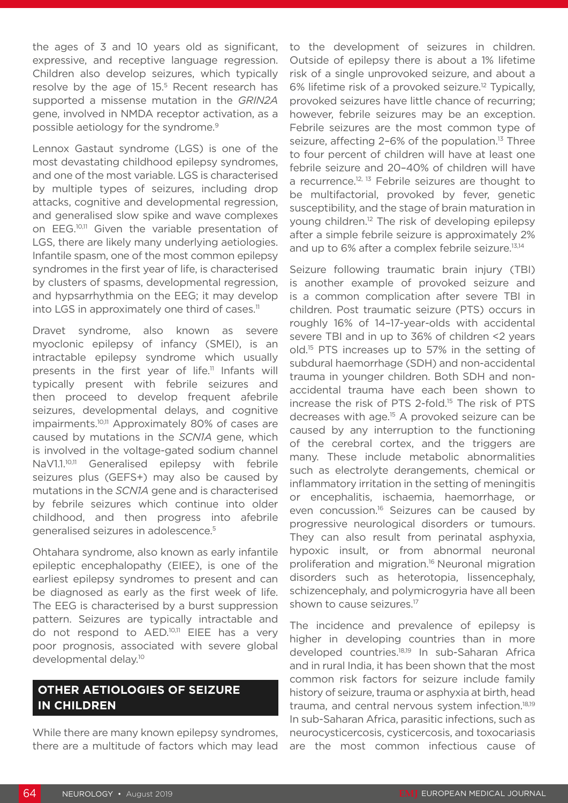the ages of 3 and 10 years old as significant, expressive, and receptive language regression. Children also develop seizures, which typically resolve by the age of 15.<sup>5</sup> Recent research has supported a missense mutation in the *GRIN2A* gene, involved in NMDA receptor activation, as a possible aetiology for the syndrome.9

Lennox Gastaut syndrome (LGS) is one of the most devastating childhood epilepsy syndromes, and one of the most variable. LGS is characterised by multiple types of seizures, including drop attacks, cognitive and developmental regression, and generalised slow spike and wave complexes on EEG.10,11 Given the variable presentation of LGS, there are likely many underlying aetiologies. Infantile spasm, one of the most common epilepsy syndromes in the first year of life, is characterised by clusters of spasms, developmental regression, and hypsarrhythmia on the EEG; it may develop into LGS in approximately one third of cases.<sup>11</sup>

Dravet syndrome, also known as severe myoclonic epilepsy of infancy (SMEI), is an intractable epilepsy syndrome which usually presents in the first year of life.<sup>11</sup> Infants will typically present with febrile seizures and then proceed to develop frequent afebrile seizures, developmental delays, and cognitive impairments.<sup>10,11</sup> Approximately 80% of cases are caused by mutations in the *SCN1A* gene, which is involved in the voltage-gated sodium channel NaV1.1.<sup>10,11</sup> Generalised epilepsy with febrile seizures plus (GEFS+) may also be caused by mutations in the *SCN1A* gene and is characterised by febrile seizures which continue into older childhood, and then progress into afebrile generalised seizures in adolescence.5

Ohtahara syndrome, also known as early infantile epileptic encephalopathy (EIEE), is one of the earliest epilepsy syndromes to present and can be diagnosed as early as the first week of life. The EEG is characterised by a burst suppression pattern. Seizures are typically intractable and do not respond to AED.10,11 EIEE has a very poor prognosis, associated with severe global developmental delay.10

## **OTHER AETIOLOGIES OF SEIZURE IN CHILDREN**

While there are many known epilepsy syndromes, there are a multitude of factors which may lead to the development of seizures in children. Outside of epilepsy there is about a 1% lifetime risk of a single unprovoked seizure, and about a 6% lifetime risk of a provoked seizure.<sup>12</sup> Typically, provoked seizures have little chance of recurring; however, febrile seizures may be an exception. Febrile seizures are the most common type of seizure, affecting 2-6% of the population.<sup>13</sup> Three to four percent of children will have at least one febrile seizure and 20–40% of children will have a recurrence.<sup>12, 13</sup> Febrile seizures are thought to be multifactorial, provoked by fever, genetic susceptibility, and the stage of brain maturation in young children.12 The risk of developing epilepsy after a simple febrile seizure is approximately 2% and up to 6% after a complex febrile seizure.<sup>13,14</sup>

Seizure following traumatic brain injury (TBI) is another example of provoked seizure and is a common complication after severe TBI in children. Post traumatic seizure (PTS) occurs in roughly 16% of 14–17-year-olds with accidental severe TBI and in up to 36% of children <2 years old.15 PTS increases up to 57% in the setting of subdural haemorrhage (SDH) and non-accidental trauma in younger children. Both SDH and nonaccidental trauma have each been shown to increase the risk of PTS 2-fold.15 The risk of PTS decreases with age.15 A provoked seizure can be caused by any interruption to the functioning of the cerebral cortex, and the triggers are many. These include metabolic abnormalities such as electrolyte derangements, chemical or inflammatory irritation in the setting of meningitis or encephalitis, ischaemia, haemorrhage, or even concussion.<sup>16</sup> Seizures can be caused by progressive neurological disorders or tumours. They can also result from perinatal asphyxia, hypoxic insult, or from abnormal neuronal proliferation and migration.<sup>16</sup> Neuronal migration disorders such as heterotopia, lissencephaly, schizencephaly, and polymicrogyria have all been shown to cause seizures.<sup>17</sup>

The incidence and prevalence of epilepsy is higher in developing countries than in more developed countries.18,19 In sub-Saharan Africa and in rural India, it has been shown that the most common risk factors for seizure include family history of seizure, trauma or asphyxia at birth, head trauma, and central nervous system infection.<sup>18,19</sup> In sub-Saharan Africa, parasitic infections, such as neurocysticercosis, cysticercosis, and toxocariasis are the most common infectious cause of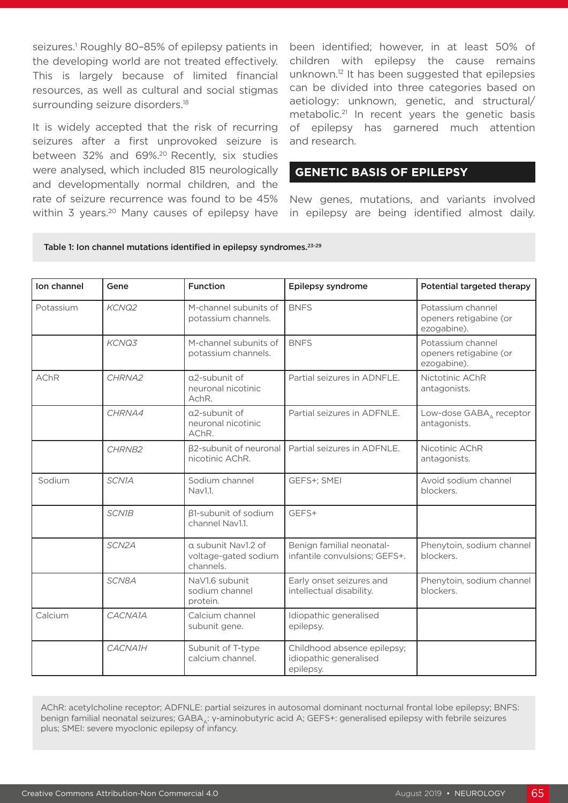seizures.<sup>1</sup> Roughly 80-85% of epilepsy patients in the developing world are not treated effectively. This is largely because of limited financial resources, as well as cultural and social stigmas surrounding seizure disorders.<sup>18</sup>

It is widely accepted that the risk of recurring seizures after a first unprovoked seizure is between 32% and 69%.<sup>20</sup> Recently, six studies were analysed, which included 815 neurologically and developmentally normal children, and the rate of seizure recurrence was found to be 45% within 3 years.<sup>20</sup> Many causes of epilepsy have been identified; however, in at least 50% of children with epilepsy the cause remains unknown.12 It has been suggested that epilepsies can be divided into three categories based on aetiology: unknown, genetic, and structural/ metabolic.<sup>21</sup> In recent years the genetic basis of epilepsy has garnered much attention and research.

## **GENETIC BASIS OF EPILEPSY**

New genes, mutations, and variants involved in epilepsy are being identified almost daily.

#### Table 1: Ion channel mutations identified in epilepsy syndromes.<sup>23-29</sup>

| Ion channel | Gene         | <b>Function</b>                                          | Epilepsy syndrome                                                  | Potential targeted therapy                                 |
|-------------|--------------|----------------------------------------------------------|--------------------------------------------------------------------|------------------------------------------------------------|
| Potassium   | KCNQ2        | M-channel subunits of<br>potassium channels.             | <b>BNFS</b>                                                        | Potassium channel<br>openers retigabine (or<br>ezogabine). |
|             | KCNQ3        | M-channel subunits of<br>potassium channels.             | <b>BNFS</b>                                                        | Potassium channel<br>openers retigabine (or<br>ezogabine). |
| <b>AChR</b> | CHRNA2       | a2-subunit of<br>neuronal nicotinic<br>AchR.             | Partial seizures in ADNFLE.                                        | Nictotinic AChR<br>antagonists.                            |
|             | CHRNA4       | a2-subunit of<br>neuronal nicotinic<br>AChR.             | Partial seizures in ADFNLE.                                        | Low-dose GABA <sub>A</sub> receptor<br>antagonists.        |
|             | CHRNB2       | <b>B2-subunit of neuronal</b><br>nicotinic AChR.         | Partial seizures in ADFNLE.                                        | Nicotinic AChR<br>antagonists.                             |
| Sodium      | SCN1A        | Sodium channel<br>Nav1.1.                                | GEFS+; SMEI                                                        | Avoid sodium channel<br>blockers.                          |
|             | <b>SCN1B</b> | <b>B1-subunit of sodium</b><br>channel Nav1.1.           | GEFS+                                                              |                                                            |
|             | SCN2A        | a subunit Nav1.2 of<br>voltage-gated sodium<br>channels. | Benign familial neonatal-<br>infantile convulsions; GEFS+.         | Phenytoin, sodium channel<br>blockers.                     |
|             | SCN8A        | NaV1.6 subunit<br>sodium channel<br>protein.             | Early onset seizures and<br>intellectual disability.               | Phenytoin, sodium channel<br>blockers.                     |
| Calcium     | CACNA1A      | Calcium channel<br>subunit gene.                         | Idiopathic generalised<br>epilepsy.                                |                                                            |
|             | CACNA1H      | Subunit of T-type<br>calcium channel.                    | Childhood absence epilepsy;<br>idiopathic generalised<br>epilepsy. |                                                            |

AChR: acetylcholine receptor; ADFNLE: partial seizures in autosomal dominant nocturnal frontal lobe epilepsy; BNFS: benign familial neonatal seizures; GABA,: γ-aminobutyric acid A; GEFS+: generalised epilepsy with febrile seizures plus; SMEI: severe myoclonic epilepsy of infancy.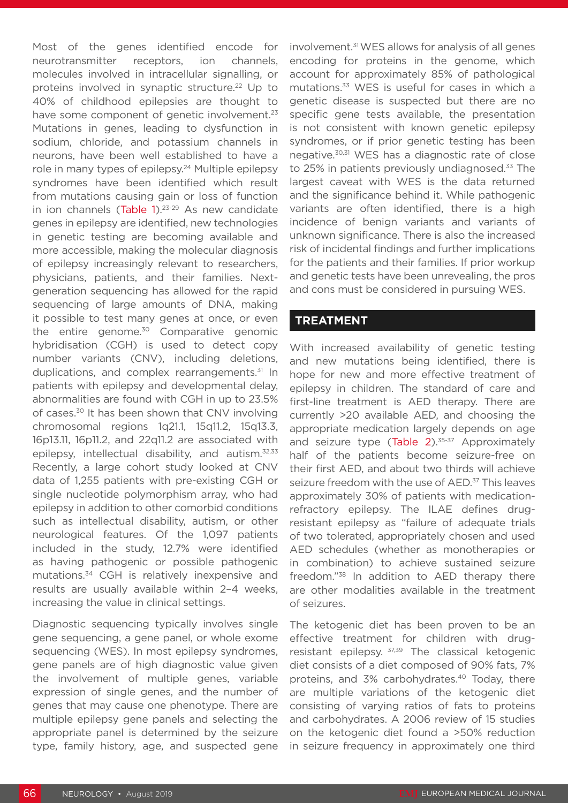Most of the genes identified encode for neurotransmitter receptors, ion channels, molecules involved in intracellular signalling, or proteins involved in synaptic structure.<sup>22</sup> Up to 40% of childhood epilepsies are thought to have some component of genetic involvement.<sup>23</sup> Mutations in genes, leading to dysfunction in sodium, chloride, and potassium channels in neurons, have been well established to have a role in many types of epilepsy.<sup>24</sup> Multiple epilepsy syndromes have been identified which result from mutations causing gain or loss of function in ion channels (Table  $1$ ).<sup>23-29</sup> As new candidate genes in epilepsy are identified, new technologies in genetic testing are becoming available and more accessible, making the molecular diagnosis of epilepsy increasingly relevant to researchers, physicians, patients, and their families. Nextgeneration sequencing has allowed for the rapid sequencing of large amounts of DNA, making it possible to test many genes at once, or even the entire genome.<sup>30</sup> Comparative genomic hybridisation (CGH) is used to detect copy number variants (CNV), including deletions, duplications, and complex rearrangements.<sup>31</sup> In patients with epilepsy and developmental delay, abnormalities are found with CGH in up to 23.5% of cases.30 It has been shown that CNV involving chromosomal regions 1q21.1, 15q11.2, 15q13.3, 16p13.11, 16p11.2, and 22q11.2 are associated with epilepsy, intellectual disability, and autism.<sup>32,33</sup> Recently, a large cohort study looked at CNV data of 1,255 patients with pre-existing CGH or single nucleotide polymorphism array, who had epilepsy in addition to other comorbid conditions such as intellectual disability, autism, or other neurological features. Of the 1,097 patients included in the study, 12.7% were identified as having pathogenic or possible pathogenic mutations.34 CGH is relatively inexpensive and results are usually available within 2–4 weeks, increasing the value in clinical settings.

Diagnostic sequencing typically involves single gene sequencing, a gene panel, or whole exome sequencing (WES). In most epilepsy syndromes, gene panels are of high diagnostic value given the involvement of multiple genes, variable expression of single genes, and the number of genes that may cause one phenotype. There are multiple epilepsy gene panels and selecting the appropriate panel is determined by the seizure type, family history, age, and suspected gene

involvement.31 WES allows for analysis of all genes encoding for proteins in the genome, which account for approximately 85% of pathological mutations.33 WES is useful for cases in which a genetic disease is suspected but there are no specific gene tests available, the presentation is not consistent with known genetic epilepsy syndromes, or if prior genetic testing has been negative.30,31 WES has a diagnostic rate of close to 25% in patients previously undiagnosed.<sup>33</sup> The largest caveat with WES is the data returned and the significance behind it. While pathogenic variants are often identified, there is a high incidence of benign variants and variants of unknown significance. There is also the increased risk of incidental findings and further implications for the patients and their families. If prior workup and genetic tests have been unrevealing, the pros and cons must be considered in pursuing WES.

## **TREATMENT**

With increased availability of genetic testing and new mutations being identified, there is hope for new and more effective treatment of epilepsy in children. The standard of care and first-line treatment is AED therapy. There are currently >20 available AED, and choosing the appropriate medication largely depends on age and seizure type  $(Table 2)$ .<sup>35-37</sup> Approximately half of the patients become seizure-free on their first AED, and about two thirds will achieve seizure freedom with the use of AED.<sup>37</sup> This leaves approximately 30% of patients with medicationrefractory epilepsy. The ILAE defines drugresistant epilepsy as "failure of adequate trials of two tolerated, appropriately chosen and used AED schedules (whether as monotherapies or in combination) to achieve sustained seizure freedom."38 In addition to AED therapy there are other modalities available in the treatment of seizures.

The ketogenic diet has been proven to be an effective treatment for children with drugresistant epilepsy. 37,39 The classical ketogenic diet consists of a diet composed of 90% fats, 7% proteins, and 3% carbohydrates.<sup>40</sup> Today, there are multiple variations of the ketogenic diet consisting of varying ratios of fats to proteins and carbohydrates. A 2006 review of 15 studies on the ketogenic diet found a >50% reduction in seizure frequency in approximately one third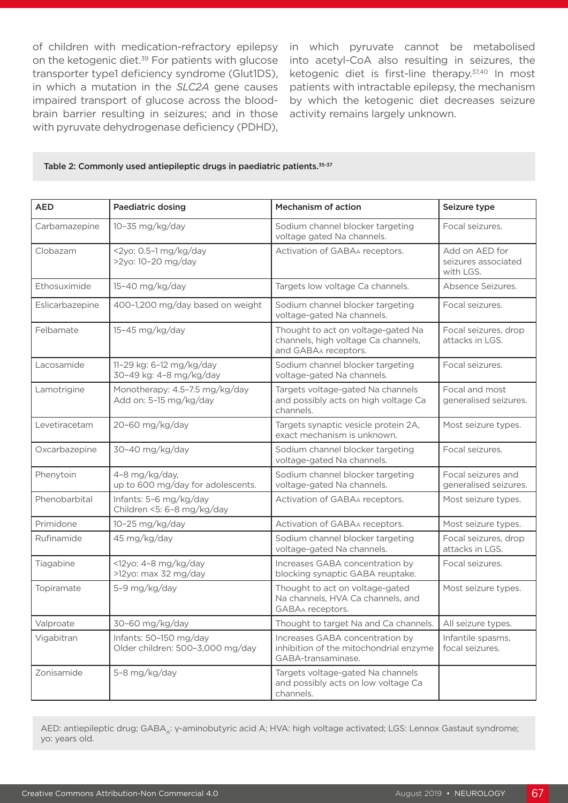on the ketogenic diet.<sup>39</sup> For patients with glucose transporter type1 deficiency syndrome (Glut1DS), in which a mutation in the *SLC2A* gene causes impaired transport of glucose across the bloodbrain barrier resulting in seizures; and in those with pyruvate dehydrogenase deficiency (PDHD),

of children with medication-refractory epilepsy in which pyruvate cannot be metabolised into acetyl-CoA also resulting in seizures, the ketogenic diet is first-line therapy.<sup>37,40</sup> In most patients with intractable epilepsy, the mechanism by which the ketogenic diet decreases seizure activity remains largely unknown.

#### Table 2: Commonly used antiepileptic drugs in paediatric patients.<sup>35-37</sup>

| <b>AED</b>      | Paediatric dosing                                          | Mechanism of action                                                                               | Seizure type                                       |
|-----------------|------------------------------------------------------------|---------------------------------------------------------------------------------------------------|----------------------------------------------------|
| Carbamazepine   | 10-35 mg/kg/day                                            | Sodium channel blocker targeting<br>voltage gated Na channels.                                    | Focal seizures.                                    |
| Clobazam        | <2yo: 0.5-1 mg/kg/day<br>>2yo: 10-20 mg/day                | Activation of GABAA receptors.                                                                    | Add on AED for<br>seizures associated<br>with LGS. |
| Ethosuximide    | 15-40 mg/kg/day                                            | Targets low voltage Ca channels.                                                                  | Absence Seizures.                                  |
| Eslicarbazepine | 400-1,200 mg/day based on weight                           | Sodium channel blocker targeting<br>voltage-gated Na channels.                                    | Focal seizures.                                    |
| Felbamate       | 15-45 mg/kg/day                                            | Thought to act on voltage-gated Na<br>channels, high voltage Ca channels,<br>and GABAA receptors. | Focal seizures, drop<br>attacks in LGS.            |
| Lacosamide      | 11-29 kg: 6-12 mg/kg/day<br>30-49 kg: 4-8 mg/kg/day        | Sodium channel blocker targeting<br>voltage-gated Na channels.                                    | Focal seizures.                                    |
| Lamotrigine     | Monotherapy: 4.5-7.5 mg/kg/day<br>Add on: 5-15 mg/kg/day   | Targets voltage-gated Na channels<br>and possibly acts on high voltage Ca<br>channels.            | Focal and most<br>generalised seizures.            |
| Levetiracetam   | 20-60 mg/kg/day                                            | Targets synaptic vesicle protein 2A,<br>exact mechanism is unknown.                               | Most seizure types.                                |
| Oxcarbazepine   | 30-40 mg/kg/day                                            | Sodium channel blocker targeting<br>voltage-gated Na channels.                                    | Focal seizures.                                    |
| Phenytoin       | 4-8 mg/kg/day,<br>up to 600 mg/day for adolescents.        | Sodium channel blocker targeting<br>voltage-gated Na channels.                                    | Focal seizures and<br>generalised seizures.        |
| Phenobarbital   | Infants: 5-6 mg/kg/day<br>Children <5: 6-8 mg/kg/day       | Activation of GABAA receptors.                                                                    | Most seizure types.                                |
| Primidone       | 10-25 mg/kg/day                                            | Activation of GABAA receptors.                                                                    | Most seizure types.                                |
| Rufinamide      | 45 mg/kg/day                                               | Sodium channel blocker targeting<br>voltage-gated Na channels.                                    | Focal seizures, drop<br>attacks in LGS.            |
| Tiagabine       | <12yo: 4-8 mg/kg/day<br>>12yo: max 32 mg/day               | Increases GABA concentration by<br>blocking synaptic GABA reuptake.                               | Focal seizures.                                    |
| Topiramate      | 5-9 mg/kg/day                                              | Thought to act on voltage-gated<br>Na channels, HVA Ca channels, and<br>GABAA receptors.          | Most seizure types.                                |
| Valproate       | 30-60 mg/kg/day                                            | Thought to target Na and Ca channels.                                                             | All seizure types.                                 |
| Vigabitran      | Infants: 50-150 mg/day<br>Older children: 500-3,000 mg/day | Increases GABA concentration by<br>inhibition of the mitochondrial enzyme<br>GABA-transaminase.   | Infantile spasms,<br>focal seizures.               |
| Zonisamide      | 5-8 mg/kg/day                                              | Targets voltage-gated Na channels<br>and possibly acts on low voltage Ca<br>channels.             |                                                    |

AED: antiepileptic drug; GABA,: γ-aminobutyric acid A; HVA: high voltage activated; LGS: Lennox Gastaut syndrome; yo: years old.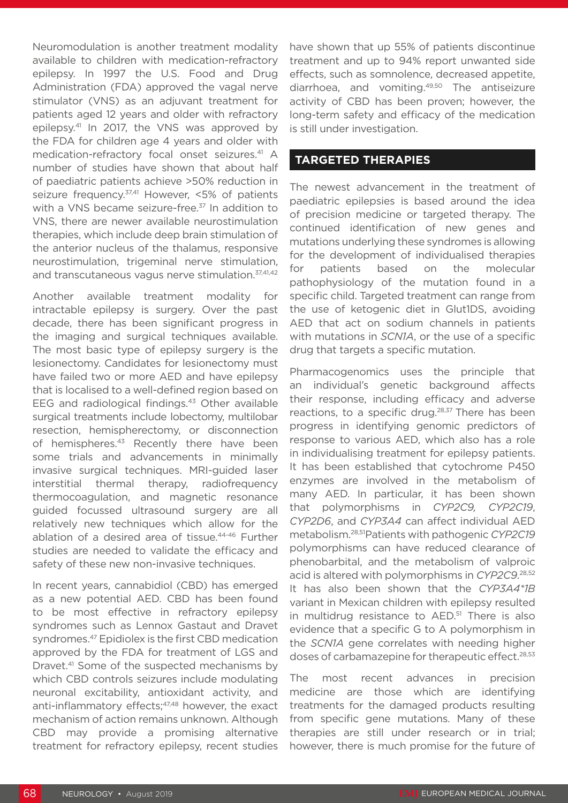Neuromodulation is another treatment modality available to children with medication-refractory epilepsy. In 1997 the U.S. Food and Drug Administration (FDA) approved the vagal nerve stimulator (VNS) as an adjuvant treatment for patients aged 12 years and older with refractory epilepsy.41 In 2017, the VNS was approved by the FDA for children age 4 years and older with medication-refractory focal onset seizures.<sup>41</sup> A number of studies have shown that about half of paediatric patients achieve >50% reduction in seizure frequency.<sup>37,41</sup> However, <5% of patients with a VNS became seizure-free.<sup>37</sup> In addition to VNS, there are newer available neurostimulation therapies, which include deep brain stimulation of the anterior nucleus of the thalamus, responsive neurostimulation, trigeminal nerve stimulation, and transcutaneous vagus nerve stimulation.<sup>37,41,42</sup>

Another available treatment modality for intractable epilepsy is surgery. Over the past decade, there has been significant progress in the imaging and surgical techniques available. The most basic type of epilepsy surgery is the lesionectomy. Candidates for lesionectomy must have failed two or more AED and have epilepsy that is localised to a well-defined region based on EEG and radiological findings.<sup>43</sup> Other available surgical treatments include lobectomy, multilobar resection, hemispherectomy, or disconnection of hemispheres.<sup>43</sup> Recently there have been some trials and advancements in minimally invasive surgical techniques. MRI-guided laser interstitial thermal therapy, radiofrequency thermocoagulation, and magnetic resonance guided focussed ultrasound surgery are all relatively new techniques which allow for the ablation of a desired area of tissue.44-46 Further studies are needed to validate the efficacy and safety of these new non-invasive techniques.

In recent years, cannabidiol (CBD) has emerged as a new potential AED. CBD has been found to be most effective in refractory epilepsy syndromes such as Lennox Gastaut and Dravet syndromes.47 Epidiolex is the first CBD medication approved by the FDA for treatment of LGS and Dravet.41 Some of the suspected mechanisms by which CBD controls seizures include modulating neuronal excitability, antioxidant activity, and anti-inflammatory effects;<sup>47,48</sup> however, the exact mechanism of action remains unknown. Although CBD may provide a promising alternative treatment for refractory epilepsy, recent studies

have shown that up 55% of patients discontinue treatment and up to 94% report unwanted side effects, such as somnolence, decreased appetite, diarrhoea, and vomiting.49,50 The antiseizure activity of CBD has been proven; however, the long-term safety and efficacy of the medication is still under investigation.

## **TARGETED THERAPIES**

The newest advancement in the treatment of paediatric epilepsies is based around the idea of precision medicine or targeted therapy. The continued identification of new genes and mutations underlying these syndromes is allowing for the development of individualised therapies for patients based on the molecular pathophysiology of the mutation found in a specific child. Targeted treatment can range from the use of ketogenic diet in Glut1DS, avoiding AED that act on sodium channels in patients with mutations in *SCN1A*, or the use of a specific drug that targets a specific mutation.

Pharmacogenomics uses the principle that an individual's genetic background affects their response, including efficacy and adverse reactions, to a specific drug.<sup>28,37</sup> There has been progress in identifying genomic predictors of response to various AED, which also has a role in individualising treatment for epilepsy patients. It has been established that cytochrome P450 enzymes are involved in the metabolism of many AED. In particular, it has been shown that polymorphisms in *CYP2C9, CYP2C19*, *CYP2D6*, and *CYP3A4* can affect individual AED metabolism.28,51Patients with pathogenic *CYP2C19* polymorphisms can have reduced clearance of phenobarbital, and the metabolism of valproic acid is altered with polymorphisms in *CYP2C9*. 28,52 It has also been shown that the *CYP3A4\*1B*  variant in Mexican children with epilepsy resulted in multidrug resistance to AED.<sup>51</sup> There is also evidence that a specific G to A polymorphism in the *SCN1A* gene correlates with needing higher doses of carbamazepine for therapeutic effect.<sup>28,53</sup>

The most recent advances in precision medicine are those which are identifying treatments for the damaged products resulting from specific gene mutations. Many of these therapies are still under research or in trial; however, there is much promise for the future of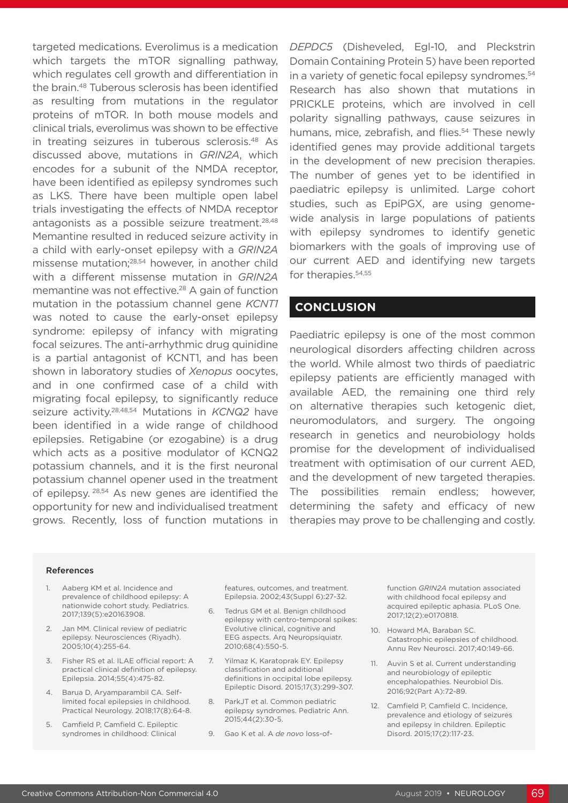targeted medications. Everolimus is a medication which targets the mTOR signalling pathway, which regulates cell growth and differentiation in the brain.48 Tuberous sclerosis has been identified as resulting from mutations in the regulator proteins of mTOR. In both mouse models and clinical trials, everolimus was shown to be effective in treating seizures in tuberous sclerosis.48 As discussed above, mutations in *GRIN2A*, which encodes for a subunit of the NMDA receptor, have been identified as epilepsy syndromes such as LKS. There have been multiple open label trials investigating the effects of NMDA receptor antagonists as a possible seizure treatment.<sup>28,48</sup> Memantine resulted in reduced seizure activity in a child with early-onset epilepsy with a *GRIN2A* missense mutation;28,54 however, in another child with a different missense mutation in *GRIN2A*  memantine was not effective.<sup>28</sup> A gain of function mutation in the potassium channel gene *KCNT1* was noted to cause the early-onset epilepsy syndrome: epilepsy of infancy with migrating focal seizures. The anti-arrhythmic drug quinidine is a partial antagonist of KCNT1, and has been shown in laboratory studies of *Xenopus* oocytes, and in one confirmed case of a child with migrating focal epilepsy, to significantly reduce seizure activity.28,48,54 Mutations in *KCNQ2* have been identified in a wide range of childhood epilepsies. Retigabine (or ezogabine) is a drug which acts as a positive modulator of KCNQ2 potassium channels, and it is the first neuronal potassium channel opener used in the treatment of epilepsy. <sup>28,54</sup> As new genes are identified the opportunity for new and individualised treatment grows. Recently, loss of function mutations in

*DEPDC5* (Disheveled, Egl-10, and Pleckstrin Domain Containing Protein 5) have been reported in a variety of genetic focal epilepsy syndromes.<sup>54</sup> Research has also shown that mutations in PRICKLE proteins, which are involved in cell polarity signalling pathways, cause seizures in humans, mice, zebrafish, and flies.<sup>54</sup> These newly identified genes may provide additional targets in the development of new precision therapies. The number of genes yet to be identified in paediatric epilepsy is unlimited. Large cohort studies, such as EpiPGX, are using genomewide analysis in large populations of patients with epilepsy syndromes to identify genetic biomarkers with the goals of improving use of our current AED and identifying new targets for therapies.<sup>54,55</sup>

## **CONCLUSION**

Paediatric epilepsy is one of the most common neurological disorders affecting children across the world. While almost two thirds of paediatric epilepsy patients are efficiently managed with available AED, the remaining one third rely on alternative therapies such ketogenic diet, neuromodulators, and surgery. The ongoing research in genetics and neurobiology holds promise for the development of individualised treatment with optimisation of our current AED, and the development of new targeted therapies. The possibilities remain endless; however, determining the safety and efficacy of new therapies may prove to be challenging and costly.

#### References

- Aaberg KM et al. Incidence and prevalence of childhood epilepsy: A nationwide cohort study. Pediatrics. 2017;139(5):e20163908.
- 2. Jan MM. Clinical review of pediatric epilepsy. Neurosciences (Riyadh). 2005;10(4):255-64.
- 3. Fisher RS et al. ILAE official report: A practical clinical definition of epilepsy. Epilepsia. 2014;55(4):475-82.
- 4. Barua D, Aryamparambil CA. Selflimited focal epilepsies in childhood. Practical Neurology. 2018;17(8):64-8.
- 5. Camfield P, Camfield C. Epileptic syndromes in childhood: Clinical

features, outcomes, and treatment. Epilepsia. 2002;43(Suppl 6):27-32.

- 6. Tedrus GM et al. Benign childhood epilepsy with centro-temporal spikes: Evolutive clinical, cognitive and EEG aspects. Arq Neuropsiquiatr. 2010;68(4):550-5.
- 7. Yilmaz K, Karatoprak EY. Epilepsy classification and additional definitions in occipital lobe epilepsy. Epileptic Disord. 2015;17(3):299-307.
- 8. ParkJT et al. Common pediatric epilepsy syndromes. Pediatric Ann. 2015;44(2):30-5.
- 9. Gao K et al. A *de novo* loss-of-

function *GRIN2A* mutation associated with childhood focal epilepsy and acquired epileptic aphasia. PLoS One. 2017;12(2):e0170818.

- 10. Howard MA, Baraban SC. Catastrophic epilepsies of childhood. Annu Rev Neurosci. 2017;40:149-66.
- 11. Auvin S et al. Current understanding and neurobiology of epileptic encephalopathies. Neurobiol Dis. 2016;92(Part A):72-89.
- 12. Camfield P, Camfield C. Incidence, prevalence and etiology of seizures and epilepsy in children. Epileptic Disord. 2015;17(2):117-23.